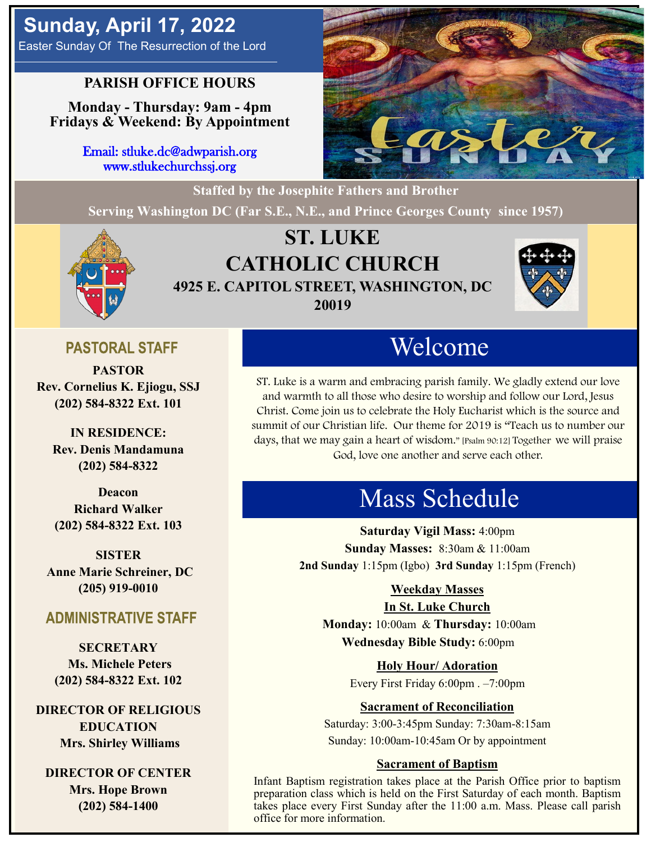# **Sunday, April 17, 2022**

Easter Sunday Of The Resurrection of the Lord

## **PARISH OFFICE HOURS**

**Monday - Thursday: 9am - 4pm Fridays & Weekend: By Appointment**

> Email: stluke.dc@adwparish.org www.stlukechurchssj.org



**Staffed by the Josephite Fathers and Brother Serving Washington DC (Far S.E., N.E., and Prince Georges County since 1957)**



## **ST. LUKE CATHOLIC CHURCH 4925 E. CAPITOL STREET, WASHINGTON, DC 20019**



## **PASTORAL STAFF**

**PASTOR Rev. Cornelius K. Ejiogu, SSJ (202) 584-8322 Ext. 101**

**IN RESIDENCE: Rev. Denis Mandamuna (202) 584-8322** 

**Deacon Richard Walker (202) 584-8322 Ext. 103**

**SISTER Anne Marie Schreiner, DC (205) 919-0010**

## **ADMINISTRATIVE STAFF**

**SECRETARY Ms. Michele Peters (202) 584-8322 Ext. 102**

**DIRECTOR OF RELIGIOUS EDUCATION Mrs. Shirley Williams**

**DIRECTOR OF CENTER Mrs. Hope Brown (202) 584-1400**

# Welcome

ST. Luke is a warm and embracing parish family. We gladly extend our love and warmth to all those who desire to worship and follow our Lord, Jesus Christ. Come join us to celebrate the Holy Eucharist which is the source and summit of our Christian life. Our theme for 2019 is "Teach us to number our days, that we may gain a heart of wisdom." [Psalm 90:12] Together we will praise God, love one another and serve each other.

# Mass Schedule

**Saturday Vigil Mass:** 4:00pm **Sunday Masses:** 8:30am & 11:00am **2nd Sunday** 1:15pm (Igbo) **3rd Sunday** 1:15pm (French)

#### **Weekday Masses**

#### **In St. Luke Church**

**Monday:** 10:00am & **Thursday:** 10:00am **Wednesday Bible Study:** 6:00pm

**Holy Hour/ Adoration**

Every First Friday 6:00pm . –7:00pm

#### **Sacrament of Reconciliation**

Saturday: 3:00-3:45pm Sunday: 7:30am-8:15am Sunday: 10:00am-10:45am Or by appointment

#### **Sacrament of Baptism**

Infant Baptism registration takes place at the Parish Office prior to baptism preparation class which is held on the First Saturday of each month. Baptism takes place every First Sunday after the 11:00 a.m. Mass. Please call parish office for more information.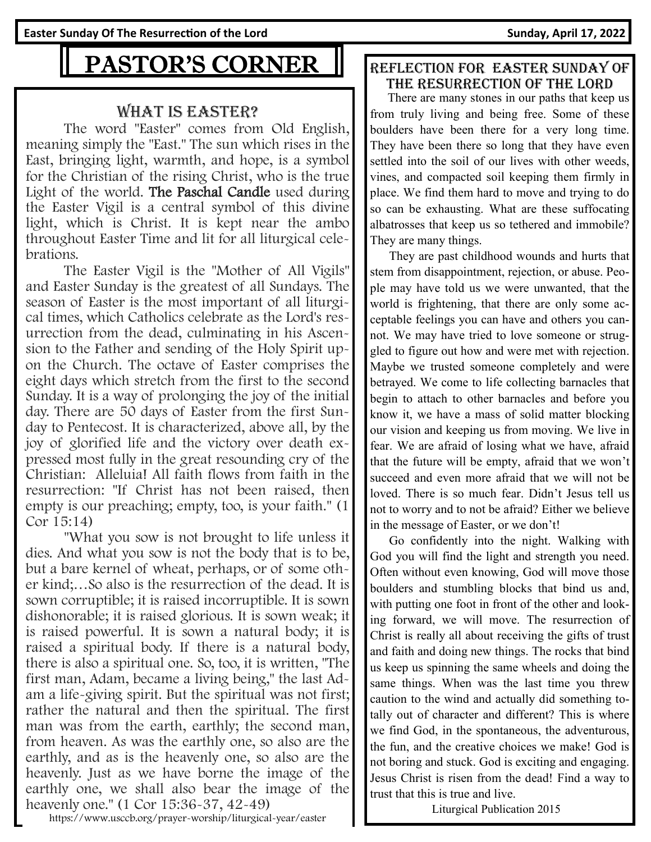**Easter Sunday Of The Resurrection of the Lord Sunday, April 17, 2022** 

# PASTOR'S CORNER

#### What is Easter?

The word "Easter" comes from Old English, meaning simply the "East." The sun which rises in the East, bringing light, warmth, and hope, is a symbol for the Christian of the rising Christ, who is the true Light of the world. The Paschal Candle used during the Easter Vigil is a central symbol of this divine light, which is Christ. It is kept near the ambo throughout Easter Time and lit for all liturgical celebrations.

The Easter Vigil is the "Mother of All Vigils" and Easter Sunday is the greatest of all Sundays. The season of Easter is the most important of all liturgical times, which Catholics celebrate as the Lord's resurrection from the dead, culminating in his Ascension to the Father and sending of the Holy Spirit upon the Church. The octave of Easter comprises the eight days which stretch from the first to the second Sunday. It is a way of prolonging the joy of the initial day. There are 50 days of Easter from the first Sunday to Pentecost. It is characterized, above all, by the joy of glorified life and the victory over death expressed most fully in the great resounding cry of the Christian: Alleluia! All faith flows from faith in the resurrection: "If Christ has not been raised, then empty is our preaching; empty, too, is your faith." (1 Cor 15:14)

"What you sow is not brought to life unless it dies. And what you sow is not the body that is to be, but a bare kernel of wheat, perhaps, or of some other kind;…So also is the resurrection of the dead. It is sown corruptible; it is raised incorruptible. It is sown dishonorable; it is raised glorious. It is sown weak; it is raised powerful. It is sown a natural body; it is raised a spiritual body. If there is a natural body, there is also a spiritual one. So, too, it is written, "The first man, Adam, became a living being," the last Adam a life-giving spirit. But the spiritual was not first; rather the natural and then the spiritual. The first man was from the earth, earthly; the second man, from heaven. As was the earthly one, so also are the earthly, and as is the heavenly one, so also are the heavenly. Just as we have borne the image of the earthly one, we shall also bear the image of the heavenly one." (1 Cor 15:36-37, 42-49)

https://www.usccb.org/prayer-worship/liturgical-year/easter

#### Reflection for easter Sunday of the resurrection of the lord

 There are many stones in our paths that keep us from truly living and being free. Some of these boulders have been there for a very long time. They have been there so long that they have even settled into the soil of our lives with other weeds, vines, and compacted soil keeping them firmly in place. We find them hard to move and trying to do so can be exhausting. What are these suffocating albatrosses that keep us so tethered and immobile? They are many things.

 They are past childhood wounds and hurts that stem from disappointment, rejection, or abuse. People may have told us we were unwanted, that the world is frightening, that there are only some acceptable feelings you can have and others you cannot. We may have tried to love someone or struggled to figure out how and were met with rejection. Maybe we trusted someone completely and were betrayed. We come to life collecting barnacles that begin to attach to other barnacles and before you know it, we have a mass of solid matter blocking our vision and keeping us from moving. We live in fear. We are afraid of losing what we have, afraid that the future will be empty, afraid that we won't succeed and even more afraid that we will not be loved. There is so much fear. Didn't Jesus tell us not to worry and to not be afraid? Either we believe in the message of Easter, or we don't!

 Go confidently into the night. Walking with God you will find the light and strength you need. Often without even knowing, God will move those boulders and stumbling blocks that bind us and, with putting one foot in front of the other and looking forward, we will move. The resurrection of Christ is really all about receiving the gifts of trust and faith and doing new things. The rocks that bind us keep us spinning the same wheels and doing the same things. When was the last time you threw caution to the wind and actually did something totally out of character and different? This is where we find God, in the spontaneous, the adventurous, the fun, and the creative choices we make! God is not boring and stuck. God is exciting and engaging. Jesus Christ is risen from the dead! Find a way to trust that this is true and live.

Liturgical Publication 2015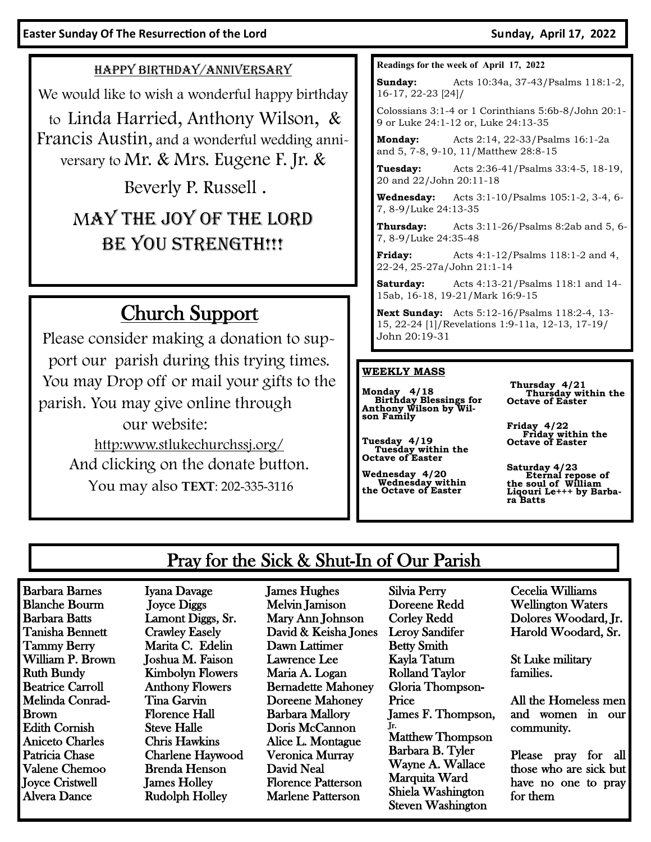#### HAPPY BIRTHDAY/ANNIVERSARY

We would like to wish a wonderful happy birthday

to Linda Harried, Anthony Wilson, & Francis Austin, and a wonderful wedding anniversary to Mr. & Mrs. Eugene F. Jr. &

Beverly P. Russell .

# MAY THE JOY OF THE LORD BE YOU STRENGTH!!!

# Church Support

Please consider making a donation to support our parish during this trying times. You may Drop off or mail your gifts to the parish. You may give online through our website: [http:www.stlukechurchssj.org/](http://www.stlukechurchssj.org/) And clicking on the donate button.

You may also **TEXT**: 202-335-3116

#### **Readings for the week of April 17, 2022**

**Sunday:** Acts 10:34a, 37-43/Psalms 118:1-2, 16-17, 22-23 [24]/

Colossians 3:1-4 or 1 Corinthians 5:6b-8/John 20:1- 9 or Luke 24:1-12 or, Luke 24:13-35

**Monday:** Acts 2:14, 22-33/Psalms 16:1-2a and 5, 7-8, 9-10, 11/Matthew 28:8-15

**Tuesday:** Acts 2:36-41/Psalms 33:4-5, 18-19, 20 and 22/John 20:11-18

**Wednesday:** Acts 3:1-10/Psalms 105:1-2, 3-4, 6- 7, 8-9/Luke 24:13-35

**Thursday:** Acts 3:11-26/Psalms 8:2ab and 5, 6- 7, 8-9/Luke 24:35-48

**Friday:** Acts 4:1-12/Psalms 118:1-2 and 4, 22-24, 25-27a/John 21:1-14

**Saturday:** Acts 4:13-21/Psalms 118:1 and 14- 15ab, 16-18, 19-21/Mark 16:9-15

**Next Sunday:** Acts 5:12-16/Psalms 118:2-4, 13- 15, 22-24 [1]/Revelations 1:9-11a, 12-13, 17-19/ John 20:19-31

#### **WEEKLY MASS**

**Tuesday 4/19**

**Monday 4/18 Birthday Blessings for Anthony Wilson by Wil-son Family**

 **Tuesday within the Octave of Easter**

**Wednesday 4/20 Wednesday within the Octave of Easter**

**Thursday 4/21 Thursday within the Octave of Easter**

**Friday 4/22 Friday within the Octave of Easter**

**Saturday 4/23 Eternal repose of the soul of William Liqouri Le+++ by Barba-ra Batts**

## Pray for the Sick & Shut-In of Our Parish

Barbara Barnes Blanche Bourm Barbara Batts Tanisha Bennett Tammy Berry William P. Brown Ruth Bundy Beatrice Carroll Melinda Conrad-Brown Edith Cornish Aniceto Charles Patricia Chase Valene Chemoo Joyce Cristwell Alvera Dance

Iyana Davage Joyce Diggs Lamont Diggs, Sr. Crawley Easely Marita C. Edelin Joshua M. Faison Kimbolyn Flowers Anthony Flowers Tina Garvin Florence Hall Steve Halle Chris Hawkins Charlene Haywood Brenda Henson James Holley Rudolph Holley

James Hughes Melvin Jamison Mary Ann Johnson David & Keisha Jones Dawn Lattimer Lawrence Lee Maria A. Logan Bernadette Mahoney Doreene Mahoney Barbara Mallory Doris McCannon Alice L. Montague Veronica Murray David Neal Florence Patterson Marlene Patterson

Silvia Perry Doreene Redd Corley Redd Leroy Sandifer Betty Smith Kayla Tatum Rolland Taylor Gloria Thompson-Price James F. Thompson, Jr. Matthew Thompson Barbara B. Tyler Wayne A. Wallace Marquita Ward Shiela Washington Steven Washington

Cecelia Williams Wellington Waters Dolores Woodard, Jr. Harold Woodard, Sr.

St Luke military families.

All the Homeless men and women in our community.

Please pray for all those who are sick but have no one to pray for them